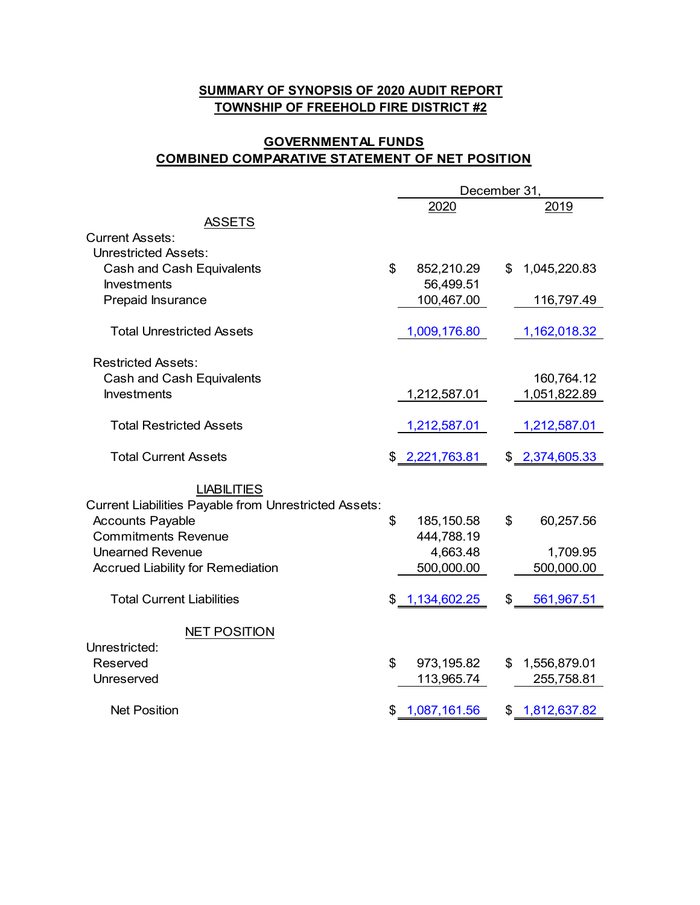## **SUMMARY OF SYNOPSIS OF 2020 AUDIT REPORT TOWNSHIP OF FREEHOLD FIRE DISTRICT #2**

## **GOVERNMENTAL FUNDS COMBINED COMPARATIVE STATEMENT OF NET POSITION**

|                                                              | December 31,       |     |                |
|--------------------------------------------------------------|--------------------|-----|----------------|
|                                                              | 2020               |     | 2019           |
| <b>ASSETS</b>                                                |                    |     |                |
| <b>Current Assets:</b>                                       |                    |     |                |
| <b>Unrestricted Assets:</b>                                  |                    |     |                |
| Cash and Cash Equivalents                                    | \$<br>852,210.29   | \$  | 1,045,220.83   |
| <b>Investments</b>                                           | 56,499.51          |     |                |
| Prepaid Insurance                                            | 100,467.00         |     | 116,797.49     |
| <b>Total Unrestricted Assets</b>                             | 1,009,176.80       |     | 1,162,018.32   |
| <b>Restricted Assets:</b>                                    |                    |     |                |
| Cash and Cash Equivalents                                    |                    |     | 160,764.12     |
| <b>Investments</b>                                           | 1,212,587.01       |     | 1,051,822.89   |
|                                                              |                    |     |                |
| <b>Total Restricted Assets</b>                               | 1,212,587.01       |     | 1,212,587.01   |
| <b>Total Current Assets</b>                                  | \$2,221,763.81     |     | \$2,374,605.33 |
|                                                              |                    |     |                |
| <b>LIABILITIES</b>                                           |                    |     |                |
| <b>Current Liabilities Payable from Unrestricted Assets:</b> |                    |     |                |
| <b>Accounts Payable</b>                                      | \$<br>185,150.58   | \$  | 60,257.56      |
| <b>Commitments Revenue</b>                                   | 444,788.19         |     |                |
| <b>Unearned Revenue</b>                                      | 4,663.48           |     | 1,709.95       |
| <b>Accrued Liability for Remediation</b>                     | 500,000.00         |     | 500,000.00     |
| <b>Total Current Liabilities</b>                             | \$1,134,602.25     | \$  | 561,967.51     |
|                                                              |                    |     |                |
| <b>NET POSITION</b>                                          |                    |     |                |
| Unrestricted:                                                |                    |     |                |
| Reserved                                                     | \$<br>973,195.82   | \$. | 1,556,879.01   |
| Unreserved                                                   | 113,965.74         |     | 255,758.81     |
| <b>Net Position</b>                                          | \$<br>1,087,161.56 |     | \$1,812,637.82 |
|                                                              |                    |     |                |